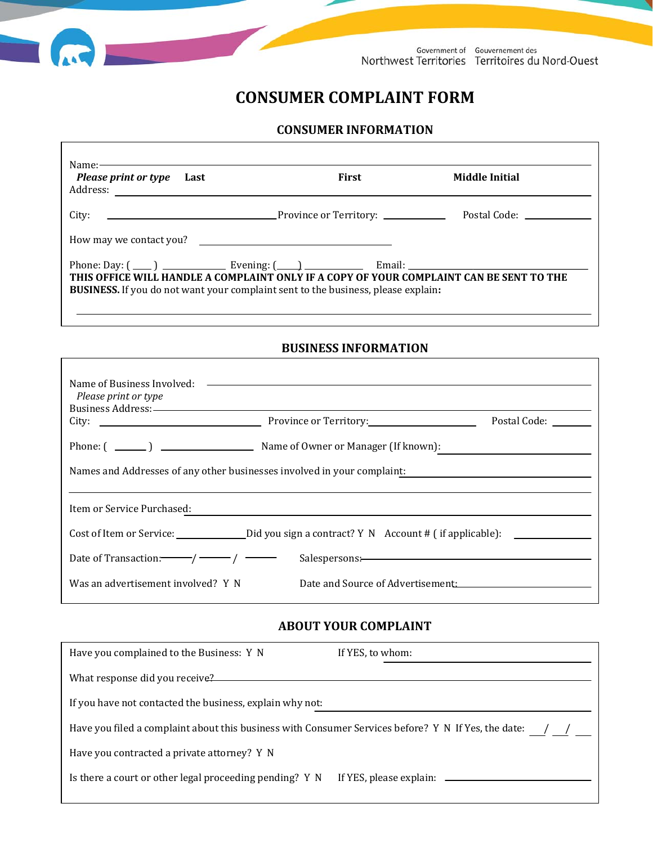

## **CONSUMER COMPLAINT FORM**

## **CONSUMER INFORMATION**

| Name:<br>Please print or type Last                                                                                                                                                                                                                        | First | Middle Initial                                                |  |  |
|-----------------------------------------------------------------------------------------------------------------------------------------------------------------------------------------------------------------------------------------------------------|-------|---------------------------------------------------------------|--|--|
| City:                                                                                                                                                                                                                                                     |       | Postal Code: The Contract of the Contract of the Postal Code: |  |  |
| How may we contact you?                                                                                                                                                                                                                                   |       |                                                               |  |  |
| Phone: Day: $(\_\_)$ $\_\_$ Evening: $(\_\_)$ $\_\_$ Email: $\_\_$<br>THIS OFFICE WILL HANDLE A COMPLAINT ONLY IF A COPY OF YOUR COMPLAINT CAN BE SENT TO THE<br><b>BUSINESS.</b> If you do not want your complaint sent to the business, please explain: |       |                                                               |  |  |

## **BUSINESS INFORMATION**

| Please print or type                                                                                                                                                                                                                                                                                                                                                                                           |                                   |                     |  |  |
|----------------------------------------------------------------------------------------------------------------------------------------------------------------------------------------------------------------------------------------------------------------------------------------------------------------------------------------------------------------------------------------------------------------|-----------------------------------|---------------------|--|--|
|                                                                                                                                                                                                                                                                                                                                                                                                                |                                   | Postal Code: ______ |  |  |
|                                                                                                                                                                                                                                                                                                                                                                                                                |                                   |                     |  |  |
| Names and Addresses of any other businesses involved in your complaint:<br><u> 1989 - Andrea Andrew Maria (h. 1989).</u>                                                                                                                                                                                                                                                                                       |                                   |                     |  |  |
| Item or Service Purchased:                                                                                                                                                                                                                                                                                                                                                                                     |                                   |                     |  |  |
|                                                                                                                                                                                                                                                                                                                                                                                                                |                                   |                     |  |  |
| Date of Transaction: $\frac{1}{\sqrt{1-\frac{1}{\sqrt{1-\frac{1}{\sqrt{1-\frac{1}{\sqrt{1-\frac{1}{\sqrt{1-\frac{1}{\sqrt{1-\frac{1}{\sqrt{1-\frac{1}{\sqrt{1-\frac{1}{\sqrt{1-\frac{1}{\sqrt{1-\frac{1}{\sqrt{1-\frac{1}{\sqrt{1-\frac{1}{\sqrt{1-\frac{1}{\sqrt{1-\frac{1}{\sqrt{1-\frac{1}{\sqrt{1-\frac{1}{\sqrt{1-\frac{1}{\sqrt{1-\frac{1}{\sqrt{1-\frac{1}{\sqrt{1-\frac{1}{\sqrt{1-\frac{1}{\sqrt{1-\$ |                                   |                     |  |  |
| Was an advertisement involved? Y N                                                                                                                                                                                                                                                                                                                                                                             | Date and Source of Advertisement: |                     |  |  |

## **ABOUT YOUR COMPLAINT**

| Have you complained to the Business: Y N                                                            | If YES, to whom: |  |
|-----------------------------------------------------------------------------------------------------|------------------|--|
| What response did you receive?                                                                      |                  |  |
| If you have not contacted the business, explain why not:                                            |                  |  |
| Have you filed a complaint about this business with Consumer Services before? Y N If Yes, the date: |                  |  |
| Have you contracted a private attorney? Y N                                                         |                  |  |
| Is there a court or other legal proceeding pending? Y N                                             |                  |  |